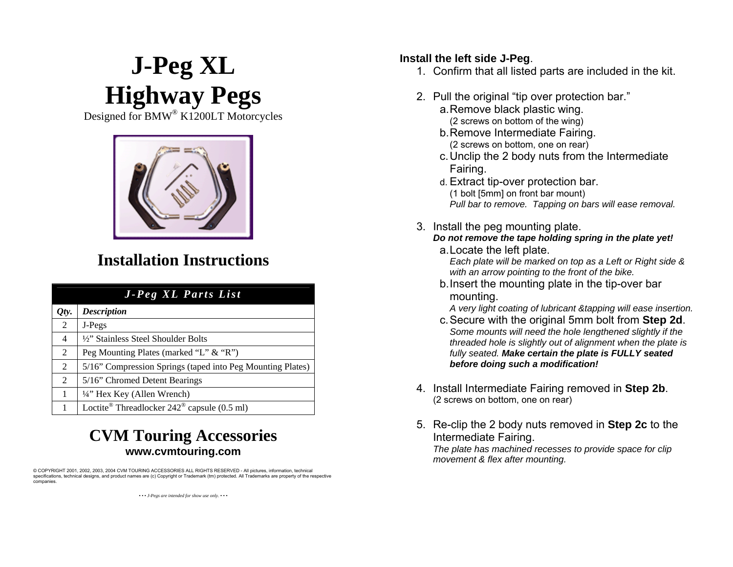## **J-Peg XL Install the left side J-Peg.**<br>1. Confirm that all listed parts are included in the kit. **Highway Pegs** 2. Pull the original "tip over protection bar."<br>
igned for BMW® K1200LT Motorcycles a. Remove black plastic wing.<br>
(2 screws on bottom of the wing)

Designed for BMW<sup>®</sup> K1200LT Motorcycles and the wing and the wing and the wing of the wing



## **Installation Instructions**

| J-Peg XL Parts List |                                                                       |
|---------------------|-----------------------------------------------------------------------|
| Qty.                | <b>Description</b>                                                    |
| 2                   | J-Pegs                                                                |
| $\overline{4}$      | 1/2" Stainless Steel Shoulder Bolts                                   |
| 2                   | Peg Mounting Plates (marked "L" & "R")                                |
| 2                   | 5/16" Compression Springs (taped into Peg Mounting Plates)            |
| 2                   | 5/16" Chromed Detent Bearings                                         |
| 1                   | 1/4" Hex Key (Allen Wrench)                                           |
|                     | Loctite <sup>®</sup> Threadlocker $242$ <sup>®</sup> capsule (0.5 ml) |

## **CVM Touring Accessories www.cvmtouring.com**

© COPYRIGHT 2001, 2002, 2003, 2004 CVM TOURING ACCESSORIES ALL RIGHTS RESERVED - All pictures, information, technical specifications, technical designs, and product names are (c) Copyright or Trademark (tm) protected. All Trademarks are property of the respective companies.

*• • • J-Pegs are intended for show use only. • • •* 

- 
- -
	- b. Remove Intermediate Fairing. (2 screws on bottom, one on rear)
	- c. Unclip the 2 body nuts from the Intermediate Fairing.
	- d. Extract tip-over protection bar. (1 bolt [5mm] on front bar mount)
		- *Pull bar to re m ove. Tapping on bars will ease rem oval.*
- 3. Install the peg mounting plate.
	- *Do not remove the tape h olding spring in the plate yet!* a. Locate the left plate.

*Each plate will be m arked on top as a L eft or Right side & with an arrow pointing to the front of the bike.*

b. Insert the mounting plate in the tip-over bar mounting.

*A very light coating of lubricant &tappin g will ease insertion.*

- c. Secure with the original 5mm bolt from **Step 2d**. *Som e mounts will need the hole len gthened slightly if the threaded hole is slightly out of alignment whe n the plate is fully seated. Make certain the plate is FULLY seate dbefore doing such a modification!*
- 4. Install Intermediate Fairing removed in **Step 2b**. (2 screws on bottom, one on rear)
- 5. Re-clip the 2 body nuts removed in **Step 2c** to the Intermediate Fairing. *The plate has m achined recesses to pro vide spa ce for clip m ovement & flex after mounting.*